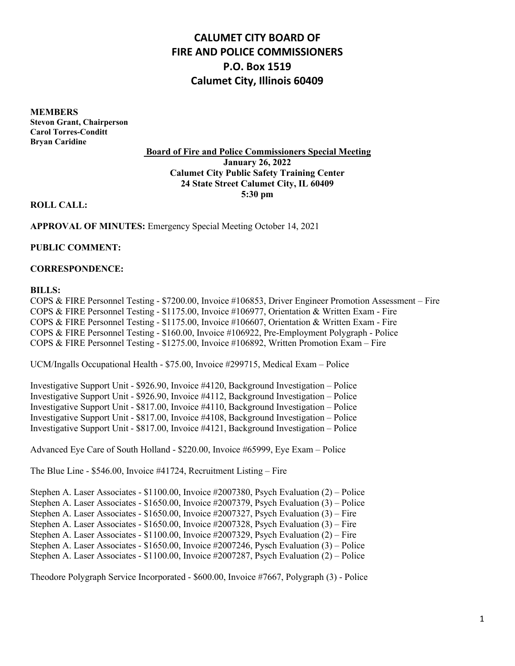# **CALUMET CITY BOARD OF FIRE AND POLICE COMMISSIONERS P.O. Box 1519 Calumet City, Illinois 60409**

**MEMBERS Stevon Grant, Chairperson Carol Torres-Conditt Bryan Caridine**

**Board of Fire and Police Commissioners Special Meeting January 26, 2022 Calumet City Public Safety Training Center 24 State Street Calumet City, IL 60409 5:30 pm**

**ROLL CALL:**

**APPROVAL OF MINUTES:** Emergency Special Meeting October 14, 2021

**PUBLIC COMMENT:**

### **CORRESPONDENCE:**

#### **BILLS:**

COPS & FIRE Personnel Testing - \$7200.00, Invoice #106853, Driver Engineer Promotion Assessment – Fire COPS & FIRE Personnel Testing - \$1175.00, Invoice #106977, Orientation & Written Exam - Fire COPS & FIRE Personnel Testing - \$1175.00, Invoice #106607, Orientation & Written Exam - Fire COPS & FIRE Personnel Testing - \$160.00, Invoice #106922, Pre-Employment Polygraph - Police COPS & FIRE Personnel Testing - \$1275.00, Invoice #106892, Written Promotion Exam – Fire

UCM/Ingalls Occupational Health - \$75.00, Invoice #299715, Medical Exam – Police

Investigative Support Unit - \$926.90, Invoice #4120, Background Investigation – Police Investigative Support Unit - \$926.90, Invoice #4112, Background Investigation – Police Investigative Support Unit - \$817.00, Invoice #4110, Background Investigation – Police Investigative Support Unit - \$817.00, Invoice #4108, Background Investigation – Police Investigative Support Unit - \$817.00, Invoice #4121, Background Investigation – Police

Advanced Eye Care of South Holland - \$220.00, Invoice #65999, Eye Exam – Police

The Blue Line - \$546.00, Invoice #41724, Recruitment Listing – Fire

Stephen A. Laser Associates - \$1100.00, Invoice #2007380, Psych Evaluation (2) – Police Stephen A. Laser Associates - \$1650.00, Invoice #2007379, Psych Evaluation (3) – Police Stephen A. Laser Associates - \$1650.00, Invoice #2007327, Psych Evaluation (3) – Fire Stephen A. Laser Associates - \$1650.00, Invoice #2007328, Psych Evaluation (3) – Fire Stephen A. Laser Associates - \$1100.00, Invoice #2007329, Psych Evaluation (2) – Fire Stephen A. Laser Associates - \$1650.00, Invoice #2007246, Pysch Evaluation (3) – Police Stephen A. Laser Associates - \$1100.00, Invoice #2007287, Psych Evaluation (2) – Police

Theodore Polygraph Service Incorporated - \$600.00, Invoice #7667, Polygraph (3) - Police